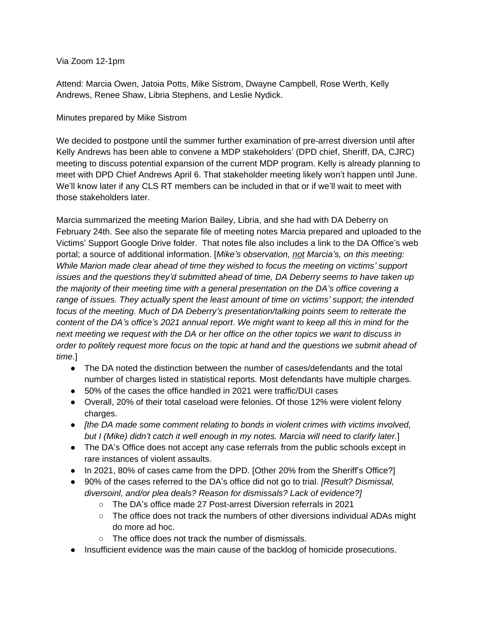## Via Zoom 12-1pm

Attend: Marcia Owen, Jatoia Potts, Mike Sistrom, Dwayne Campbell, Rose Werth, Kelly Andrews, Renee Shaw, Libria Stephens, and Leslie Nydick.

## Minutes prepared by Mike Sistrom

We decided to postpone until the summer further examination of pre-arrest diversion until after Kelly Andrews has been able to convene a MDP stakeholders' (DPD chief, Sheriff, DA, CJRC) meeting to discuss potential expansion of the current MDP program. Kelly is already planning to meet with DPD Chief Andrews April 6. That stakeholder meeting likely won't happen until June. We'll know later if any CLS RT members can be included in that or if we'll wait to meet with those stakeholders later.

Marcia summarized the meeting Marion Bailey, Libria, and she had with DA Deberry on February 24th. See also the separate file of meeting notes Marcia prepared and uploaded to the Victims' Support Google Drive folder. That notes file also includes a link to the DA Office's web portal; a source of additional information. [*Mike's observation, not Marcia's, on this meeting: While Marion made clear ahead of time they wished to focus the meeting on victims' support issues and the questions they'd submitted ahead of time, DA Deberry seems to have taken up the majority of their meeting time with a general presentation on the DA's office covering a range of issues. They actually spent the least amount of time on victims' support; the intended focus of the meeting. Much of DA Deberry's presentation/talking points seem to reiterate the content of the DA's office's 2021 annual report*. *We might want to keep all this in mind for the next meeting we request with the DA or her office on the other topics we want to discuss in order to politely request more focus on the topic at hand and the questions we submit ahead of time*.]

- The DA noted the distinction between the number of cases/defendants and the total number of charges listed in statistical reports. Most defendants have multiple charges.
- 50% of the cases the office handled in 2021 were traffic/DUI cases
- Overall, 20% of their total caseload were felonies. Of those 12% were violent felony charges.
- *[the DA made some comment relating to bonds in violent crimes with victims involved, but I (Mike) didn't catch it well enough in my notes. Marcia will need to clarify later.*]
- The DA's Office does not accept any case referrals from the public schools except in rare instances of violent assaults.
- In 2021, 80% of cases came from the DPD. [Other 20% from the Sheriff's Office?]
- 90% of the cases referred to the DA's office did not go to trial. *[Result? Dismissal, diversoinl, and/or plea deals? Reason for dismissals? Lack of evidence?]*
	- *○* The DA's office made 27 Post-arrest Diversion referrals in 2021
	- The office does not track the numbers of other diversions individual ADAs might do more ad hoc.
	- The office does not track the number of dismissals.
- Insufficient evidence was the main cause of the backlog of homicide prosecutions.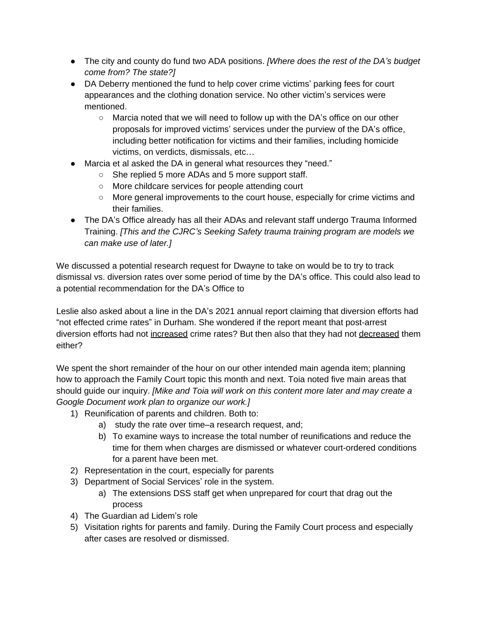- The city and county do fund two ADA positions. *[Where does the rest of the DA's budget come from? The state?]*
- DA Deberry mentioned the fund to help cover crime victims' parking fees for court appearances and the clothing donation service. No other victim's services were mentioned.
	- $\circ$  Marcia noted that we will need to follow up with the DA's office on our other proposals for improved victims' services under the purview of the DA's office, including better notification for victims and their families, including homicide victims, on verdicts, dismissals, etc…
- Marcia et al asked the DA in general what resources they "need."
	- She replied 5 more ADAs and 5 more support staff.
	- More childcare services for people attending court
	- More general improvements to the court house, especially for crime victims and their families.
- The DA's Office already has all their ADAs and relevant staff undergo Trauma Informed Training. *[This and the CJRC's Seeking Safety trauma training program are models we can make use of later.]*

We discussed a potential research request for Dwayne to take on would be to try to track dismissal vs. diversion rates over some period of time by the DA's office. This could also lead to a potential recommendation for the DA's Office to

Leslie also asked about a line in the DA's 2021 annual report claiming that diversion efforts had "not effected crime rates" in Durham. She wondered if the report meant that post-arrest diversion efforts had not increased crime rates? But then also that they had not decreased them either?

We spent the short remainder of the hour on our other intended main agenda item; planning how to approach the Family Court topic this month and next. Toia noted five main areas that should guide our inquiry. *[Mike and Toia will work on this content more later and may create a Google Document work plan to organize our work.]*

- 1) Reunification of parents and children. Both to:
	- a) study the rate over time–a research request, and;
	- b) To examine ways to increase the total number of reunifications and reduce the time for them when charges are dismissed or whatever court-ordered conditions for a parent have been met.
- 2) Representation in the court, especially for parents
- 3) Department of Social Services' role in the system.
	- a) The extensions DSS staff get when unprepared for court that drag out the process
- 4) The Guardian ad Lidem's role
- 5) Visitation rights for parents and family. During the Family Court process and especially after cases are resolved or dismissed.